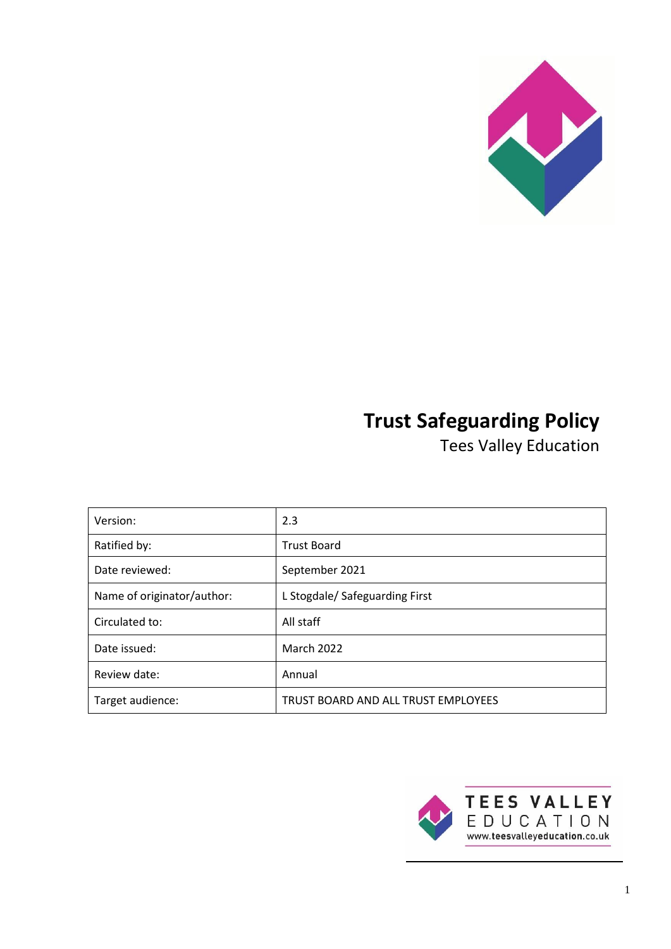

# **Trust Safeguarding Policy**

Tees Valley Education

| Version:                   | 2.3                                 |
|----------------------------|-------------------------------------|
| Ratified by:               | <b>Trust Board</b>                  |
| Date reviewed:             | September 2021                      |
| Name of originator/author: | L Stogdale/ Safeguarding First      |
| Circulated to:             | All staff                           |
| Date issued:               | <b>March 2022</b>                   |
| Review date:               | Annual                              |
| Target audience:           | TRUST BOARD AND ALL TRUST EMPLOYEES |

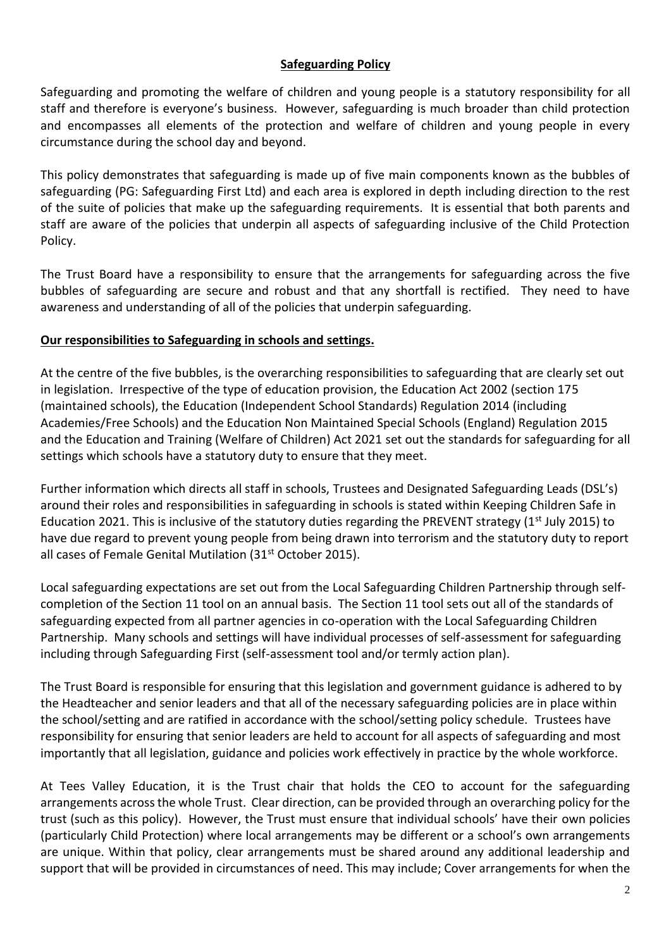## **Safeguarding Policy**

Safeguarding and promoting the welfare of children and young people is a statutory responsibility for all staff and therefore is everyone's business. However, safeguarding is much broader than child protection and encompasses all elements of the protection and welfare of children and young people in every circumstance during the school day and beyond.

This policy demonstrates that safeguarding is made up of five main components known as the bubbles of safeguarding (PG: Safeguarding First Ltd) and each area is explored in depth including direction to the rest of the suite of policies that make up the safeguarding requirements. It is essential that both parents and staff are aware of the policies that underpin all aspects of safeguarding inclusive of the Child Protection Policy.

The Trust Board have a responsibility to ensure that the arrangements for safeguarding across the five bubbles of safeguarding are secure and robust and that any shortfall is rectified. They need to have awareness and understanding of all of the policies that underpin safeguarding.

## **Our responsibilities to Safeguarding in schools and settings.**

At the centre of the five bubbles, is the overarching responsibilities to safeguarding that are clearly set out in legislation. Irrespective of the type of education provision, the Education Act 2002 (section 175 (maintained schools), the Education (Independent School Standards) Regulation 2014 (including Academies/Free Schools) and the Education Non Maintained Special Schools (England) Regulation 2015 and the Education and Training (Welfare of Children) Act 2021 set out the standards for safeguarding for all settings which schools have a statutory duty to ensure that they meet.

Further information which directs all staff in schools, Trustees and Designated Safeguarding Leads (DSL's) around their roles and responsibilities in safeguarding in schools is stated within Keeping Children Safe in Education 2021. This is inclusive of the statutory duties regarding the PREVENT strategy ( $1<sup>st</sup>$  July 2015) to have due regard to prevent young people from being drawn into terrorism and the statutory duty to report all cases of Female Genital Mutilation (31<sup>st</sup> October 2015).

Local safeguarding expectations are set out from the Local Safeguarding Children Partnership through selfcompletion of the Section 11 tool on an annual basis. The Section 11 tool sets out all of the standards of safeguarding expected from all partner agencies in co-operation with the Local Safeguarding Children Partnership. Many schools and settings will have individual processes of self-assessment for safeguarding including through Safeguarding First (self-assessment tool and/or termly action plan).

The Trust Board is responsible for ensuring that this legislation and government guidance is adhered to by the Headteacher and senior leaders and that all of the necessary safeguarding policies are in place within the school/setting and are ratified in accordance with the school/setting policy schedule. Trustees have responsibility for ensuring that senior leaders are held to account for all aspects of safeguarding and most importantly that all legislation, guidance and policies work effectively in practice by the whole workforce.

At Tees Valley Education, it is the Trust chair that holds the CEO to account for the safeguarding arrangements across the whole Trust. Clear direction, can be provided through an overarching policy for the trust (such as this policy). However, the Trust must ensure that individual schools' have their own policies (particularly Child Protection) where local arrangements may be different or a school's own arrangements are unique. Within that policy, clear arrangements must be shared around any additional leadership and support that will be provided in circumstances of need. This may include; Cover arrangements for when the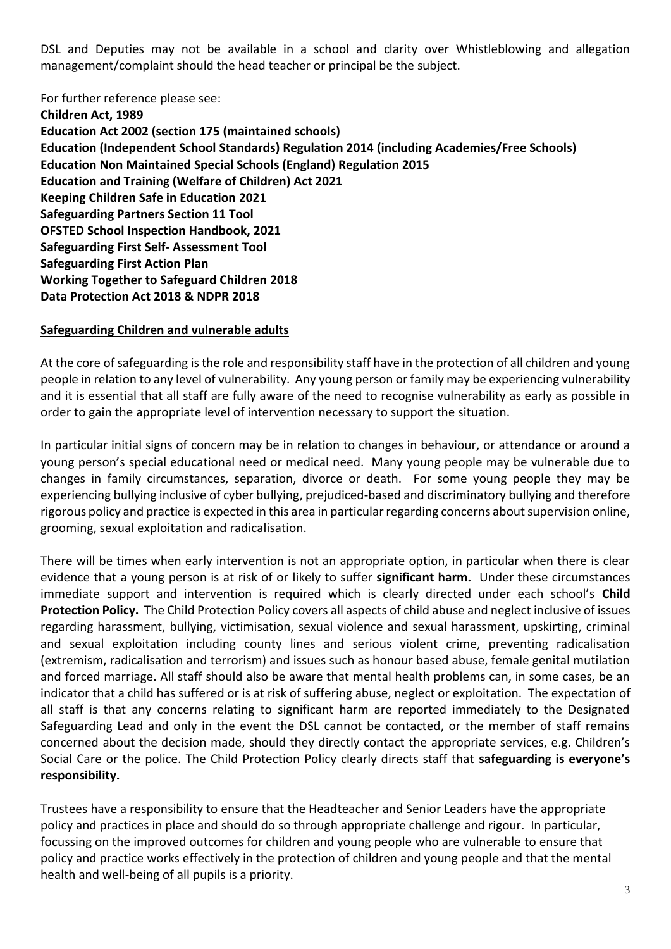DSL and Deputies may not be available in a school and clarity over Whistleblowing and allegation management/complaint should the head teacher or principal be the subject.

For further reference please see:

**Children Act, 1989 Education Act 2002 (section 175 (maintained schools) Education (Independent School Standards) Regulation 2014 (including Academies/Free Schools) Education Non Maintained Special Schools (England) Regulation 2015 Education and Training (Welfare of Children) Act 2021 Keeping Children Safe in Education 2021 Safeguarding Partners Section 11 Tool OFSTED School Inspection Handbook, 2021 Safeguarding First Self- Assessment Tool Safeguarding First Action Plan Working Together to Safeguard Children 2018 Data Protection Act 2018 & NDPR 2018** 

#### **Safeguarding Children and vulnerable adults**

At the core of safeguarding is the role and responsibility staff have in the protection of all children and young people in relation to any level of vulnerability. Any young person or family may be experiencing vulnerability and it is essential that all staff are fully aware of the need to recognise vulnerability as early as possible in order to gain the appropriate level of intervention necessary to support the situation.

In particular initial signs of concern may be in relation to changes in behaviour, or attendance or around a young person's special educational need or medical need. Many young people may be vulnerable due to changes in family circumstances, separation, divorce or death. For some young people they may be experiencing bullying inclusive of cyber bullying, prejudiced-based and discriminatory bullying and therefore rigorous policy and practice is expected in this area in particular regarding concerns about supervision online, grooming, sexual exploitation and radicalisation.

There will be times when early intervention is not an appropriate option, in particular when there is clear evidence that a young person is at risk of or likely to suffer **significant harm.** Under these circumstances immediate support and intervention is required which is clearly directed under each school's **Child Protection Policy.** The Child Protection Policy covers all aspects of child abuse and neglect inclusive of issues regarding harassment, bullying, victimisation, sexual violence and sexual harassment, upskirting, criminal and sexual exploitation including county lines and serious violent crime, preventing radicalisation (extremism, radicalisation and terrorism) and issues such as honour based abuse, female genital mutilation and forced marriage. All staff should also be aware that mental health problems can, in some cases, be an indicator that a child has suffered or is at risk of suffering abuse, neglect or exploitation. The expectation of all staff is that any concerns relating to significant harm are reported immediately to the Designated Safeguarding Lead and only in the event the DSL cannot be contacted, or the member of staff remains concerned about the decision made, should they directly contact the appropriate services, e.g. Children's Social Care or the police. The Child Protection Policy clearly directs staff that **safeguarding is everyone's responsibility.**

Trustees have a responsibility to ensure that the Headteacher and Senior Leaders have the appropriate policy and practices in place and should do so through appropriate challenge and rigour. In particular, focussing on the improved outcomes for children and young people who are vulnerable to ensure that policy and practice works effectively in the protection of children and young people and that the mental health and well-being of all pupils is a priority.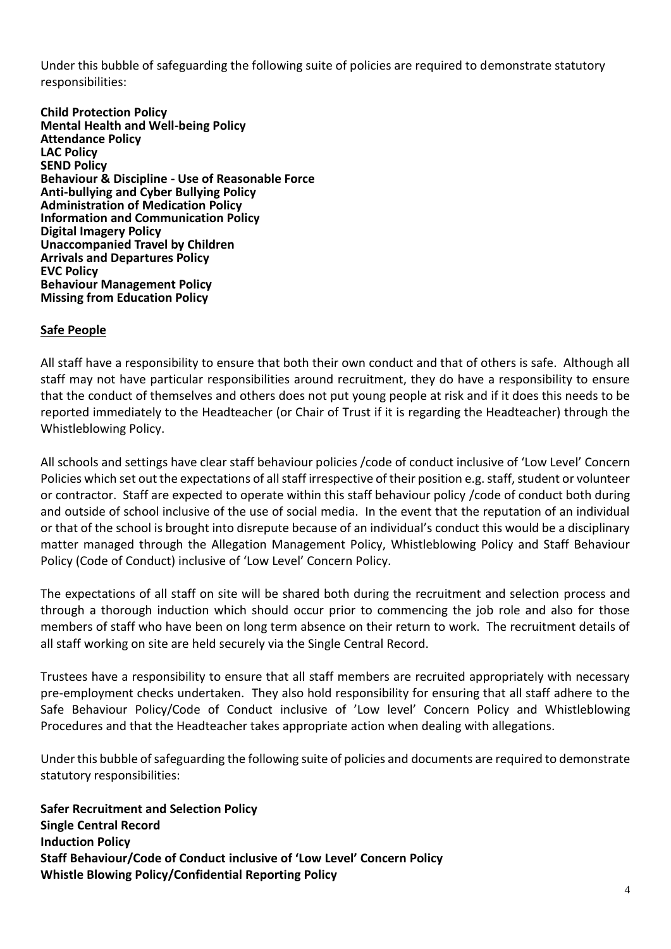Under this bubble of safeguarding the following suite of policies are required to demonstrate statutory responsibilities:

**Child Protection Policy Mental Health and Well-being Policy Attendance Policy LAC Policy SEND Policy Behaviour & Discipline - Use of Reasonable Force Anti-bullying and Cyber Bullying Policy Administration of Medication Policy Information and Communication Policy Digital Imagery Policy Unaccompanied Travel by Children Arrivals and Departures Policy EVC Policy Behaviour Management Policy Missing from Education Policy**

## **Safe People**

All staff have a responsibility to ensure that both their own conduct and that of others is safe. Although all staff may not have particular responsibilities around recruitment, they do have a responsibility to ensure that the conduct of themselves and others does not put young people at risk and if it does this needs to be reported immediately to the Headteacher (or Chair of Trust if it is regarding the Headteacher) through the Whistleblowing Policy.

All schools and settings have clear staff behaviour policies /code of conduct inclusive of 'Low Level' Concern Policies which set out the expectations of all staff irrespective of their position e.g. staff, student or volunteer or contractor. Staff are expected to operate within this staff behaviour policy /code of conduct both during and outside of school inclusive of the use of social media. In the event that the reputation of an individual or that of the school is brought into disrepute because of an individual's conduct this would be a disciplinary matter managed through the Allegation Management Policy, Whistleblowing Policy and Staff Behaviour Policy (Code of Conduct) inclusive of 'Low Level' Concern Policy.

The expectations of all staff on site will be shared both during the recruitment and selection process and through a thorough induction which should occur prior to commencing the job role and also for those members of staff who have been on long term absence on their return to work. The recruitment details of all staff working on site are held securely via the Single Central Record.

Trustees have a responsibility to ensure that all staff members are recruited appropriately with necessary pre-employment checks undertaken. They also hold responsibility for ensuring that all staff adhere to the Safe Behaviour Policy/Code of Conduct inclusive of 'Low level' Concern Policy and Whistleblowing Procedures and that the Headteacher takes appropriate action when dealing with allegations.

Under this bubble of safeguarding the following suite of policies and documents are required to demonstrate statutory responsibilities:

**Safer Recruitment and Selection Policy Single Central Record Induction Policy Staff Behaviour/Code of Conduct inclusive of 'Low Level' Concern Policy Whistle Blowing Policy/Confidential Reporting Policy**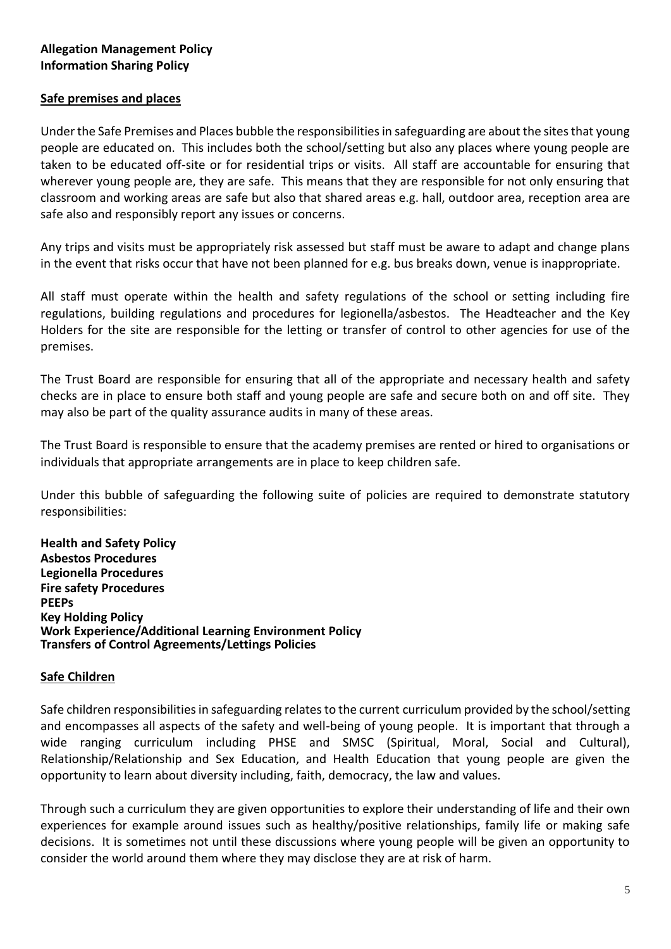# **Allegation Management Policy Information Sharing Policy**

#### **Safe premises and places**

Under the Safe Premises and Places bubble the responsibilities in safeguarding are about the sites that young people are educated on. This includes both the school/setting but also any places where young people are taken to be educated off-site or for residential trips or visits. All staff are accountable for ensuring that wherever young people are, they are safe. This means that they are responsible for not only ensuring that classroom and working areas are safe but also that shared areas e.g. hall, outdoor area, reception area are safe also and responsibly report any issues or concerns.

Any trips and visits must be appropriately risk assessed but staff must be aware to adapt and change plans in the event that risks occur that have not been planned for e.g. bus breaks down, venue is inappropriate.

All staff must operate within the health and safety regulations of the school or setting including fire regulations, building regulations and procedures for legionella/asbestos. The Headteacher and the Key Holders for the site are responsible for the letting or transfer of control to other agencies for use of the premises.

The Trust Board are responsible for ensuring that all of the appropriate and necessary health and safety checks are in place to ensure both staff and young people are safe and secure both on and off site. They may also be part of the quality assurance audits in many of these areas.

The Trust Board is responsible to ensure that the academy premises are rented or hired to organisations or individuals that appropriate arrangements are in place to keep children safe.

Under this bubble of safeguarding the following suite of policies are required to demonstrate statutory responsibilities:

**Health and Safety Policy Asbestos Procedures Legionella Procedures Fire safety Procedures PEEPs Key Holding Policy Work Experience/Additional Learning Environment Policy Transfers of Control Agreements/Lettings Policies** 

#### **Safe Children**

Safe children responsibilities in safeguarding relates to the current curriculum provided by the school/setting and encompasses all aspects of the safety and well-being of young people. It is important that through a wide ranging curriculum including PHSE and SMSC (Spiritual, Moral, Social and Cultural), Relationship/Relationship and Sex Education, and Health Education that young people are given the opportunity to learn about diversity including, faith, democracy, the law and values.

Through such a curriculum they are given opportunities to explore their understanding of life and their own experiences for example around issues such as healthy/positive relationships, family life or making safe decisions. It is sometimes not until these discussions where young people will be given an opportunity to consider the world around them where they may disclose they are at risk of harm.